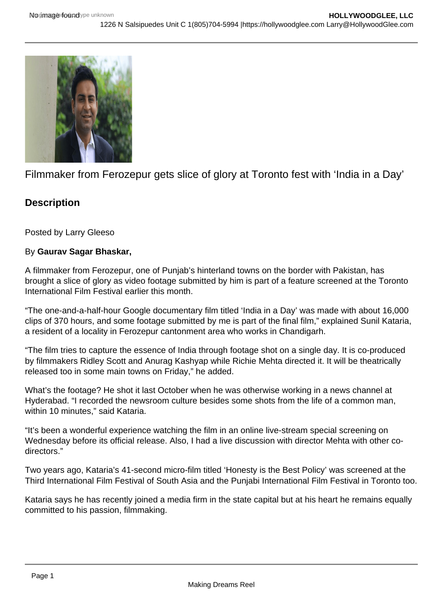

Filmmaker from Ferozepur gets slice of glory at Toronto fest with 'India in a Day'

## **Description**

Posted by Larry Gleeso

## By **Gaurav Sagar Bhaskar,**

A filmmaker from Ferozepur, one of Punjab's hinterland towns on the border with Pakistan, has brought a slice of glory as video footage submitted by him is part of a feature screened at the Toronto International Film Festival earlier this month.

"The one-and-a-half-hour Google documentary film titled 'India in a Day' was made with about 16,000 clips of 370 hours, and some footage submitted by me is part of the final film," explained Sunil Kataria, a resident of a locality in Ferozepur cantonment area who works in Chandigarh.

"The film tries to capture the essence of India through footage shot on a single day. It is co-produced by filmmakers Ridley Scott and Anurag Kashyap while Richie Mehta directed it. It will be theatrically released too in some main towns on Friday," he added.

What's the footage? He shot it last October when he was otherwise working in a news channel at Hyderabad. "I recorded the newsroom culture besides some shots from the life of a common man, within 10 minutes," said Kataria.

"It's been a wonderful experience watching the film in an online live-stream special screening on Wednesday before its official release. Also, I had a live discussion with director Mehta with other codirectors."

Two years ago, Kataria's 41-second micro-film titled 'Honesty is the Best Policy' was screened at the Third International Film Festival of South Asia and the Punjabi International Film Festival in Toronto too.

Kataria says he has recently joined a media firm in the state capital but at his heart he remains equally committed to his passion, filmmaking.